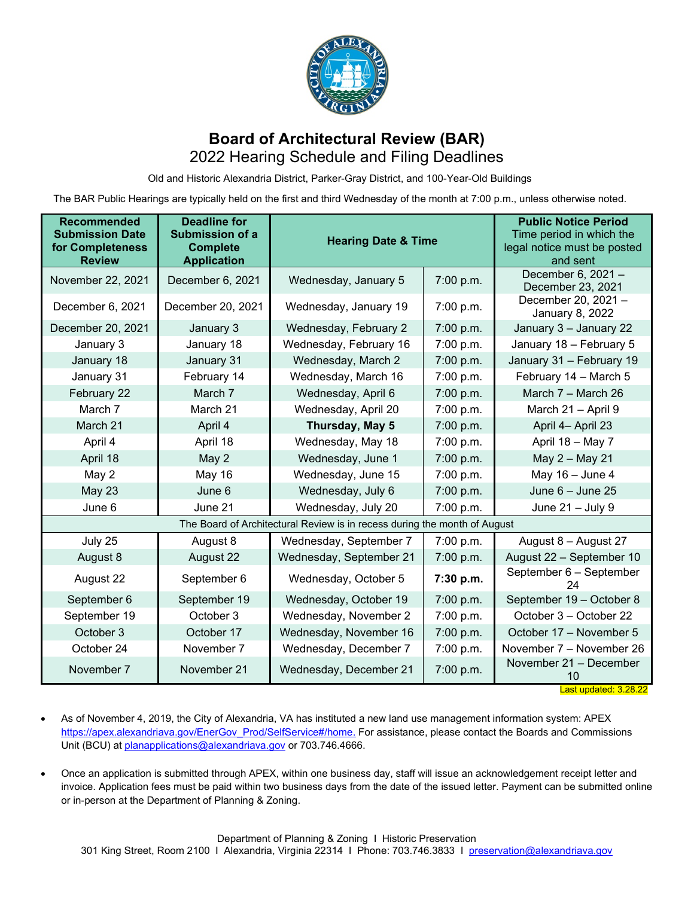

## **Board of Architectural Review (BAR)** 2022 Hearing Schedule and Filing Deadlines

Old and Historic Alexandria District, Parker-Gray District, and 100-Year-Old Buildings

The BAR Public Hearings are typically held on the first and third Wednesday of the month at 7:00 p.m., unless otherwise noted.

| <b>Recommended</b><br><b>Submission Date</b><br>for Completeness<br><b>Review</b> | <b>Deadline for</b><br><b>Submission of a</b><br><b>Complete</b><br><b>Application</b> | <b>Hearing Date &amp; Time</b> |           | <b>Public Notice Period</b><br>Time period in which the<br>legal notice must be posted<br>and sent |
|-----------------------------------------------------------------------------------|----------------------------------------------------------------------------------------|--------------------------------|-----------|----------------------------------------------------------------------------------------------------|
| November 22, 2021                                                                 | December 6, 2021                                                                       | Wednesday, January 5           | 7:00 p.m. | December 6, 2021 -<br>December 23, 2021                                                            |
| December 6, 2021                                                                  | December 20, 2021                                                                      | Wednesday, January 19          | 7:00 p.m. | December 20, 2021 -<br>January 8, 2022                                                             |
| December 20, 2021                                                                 | January 3                                                                              | Wednesday, February 2          | 7:00 p.m. | January 3 - January 22                                                                             |
| January 3                                                                         | January 18                                                                             | Wednesday, February 16         | 7:00 p.m. | January 18 - February 5                                                                            |
| January 18                                                                        | January 31                                                                             | Wednesday, March 2             | 7:00 p.m. | January 31 - February 19                                                                           |
| January 31                                                                        | February 14                                                                            | Wednesday, March 16            | 7:00 p.m. | February 14 - March 5                                                                              |
| February 22                                                                       | March 7                                                                                | Wednesday, April 6             | 7:00 p.m. | March 7 - March 26                                                                                 |
| March 7                                                                           | March 21                                                                               | Wednesday, April 20            | 7:00 p.m. | March 21 - April 9                                                                                 |
| March 21                                                                          | April 4                                                                                | Thursday, May 5                | 7:00 p.m. | April 4- April 23                                                                                  |
| April 4                                                                           | April 18                                                                               | Wednesday, May 18              | 7:00 p.m. | April 18 - May 7                                                                                   |
| April 18                                                                          | May 2                                                                                  | Wednesday, June 1              | 7:00 p.m. | May 2 - May 21                                                                                     |
| May 2                                                                             | <b>May 16</b>                                                                          | Wednesday, June 15             | 7:00 p.m. | May 16 - June 4                                                                                    |
| <b>May 23</b>                                                                     | June 6                                                                                 | Wednesday, July 6              | 7:00 p.m. | June $6 -$ June 25                                                                                 |
| June 6                                                                            | June 21                                                                                | Wednesday, July 20             | 7:00 p.m. | June $21 -$ July 9                                                                                 |
| The Board of Architectural Review is in recess during the month of August         |                                                                                        |                                |           |                                                                                                    |
| July 25                                                                           | August 8                                                                               | Wednesday, September 7         | 7:00 p.m. | August 8 - August 27                                                                               |
| August 8                                                                          | August 22                                                                              | Wednesday, September 21        | 7:00 p.m. | August 22 - September 10                                                                           |
| August 22                                                                         | September 6                                                                            | Wednesday, October 5           | 7:30 p.m. | September 6 - September<br>24                                                                      |
| September 6                                                                       | September 19                                                                           | Wednesday, October 19          | 7:00 p.m. | September 19 - October 8                                                                           |
| September 19                                                                      | October 3                                                                              | Wednesday, November 2          | 7:00 p.m. | October 3 - October 22                                                                             |
| October 3                                                                         | October 17                                                                             | Wednesday, November 16         | 7:00 p.m. | October 17 - November 5                                                                            |
| October 24                                                                        | November 7                                                                             | Wednesday, December 7          | 7:00 p.m. | November 7 - November 26                                                                           |
| November 7                                                                        | November 21                                                                            | Wednesday, December 21         | 7:00 p.m. | November 21 - December<br>10<br>Last updated: 3.28.22                                              |

• As of November 4, 2019, the City of Alexandria, VA has instituted a new land use management information system: APEX https://apex.alexandriava.gov/EnerGov\_Prod/SelfService#/home. For assistance, please contact the Boards and Commissions Unit (BCU) at planapplications@alexandriava.gov or 703.746.4666.

• Once an application is submitted through APEX, within one business day, staff will issue an acknowledgement receipt letter and invoice. Application fees must be paid within two business days from the date of the issued letter. Payment can be submitted online or in-person at the Department of Planning & Zoning.